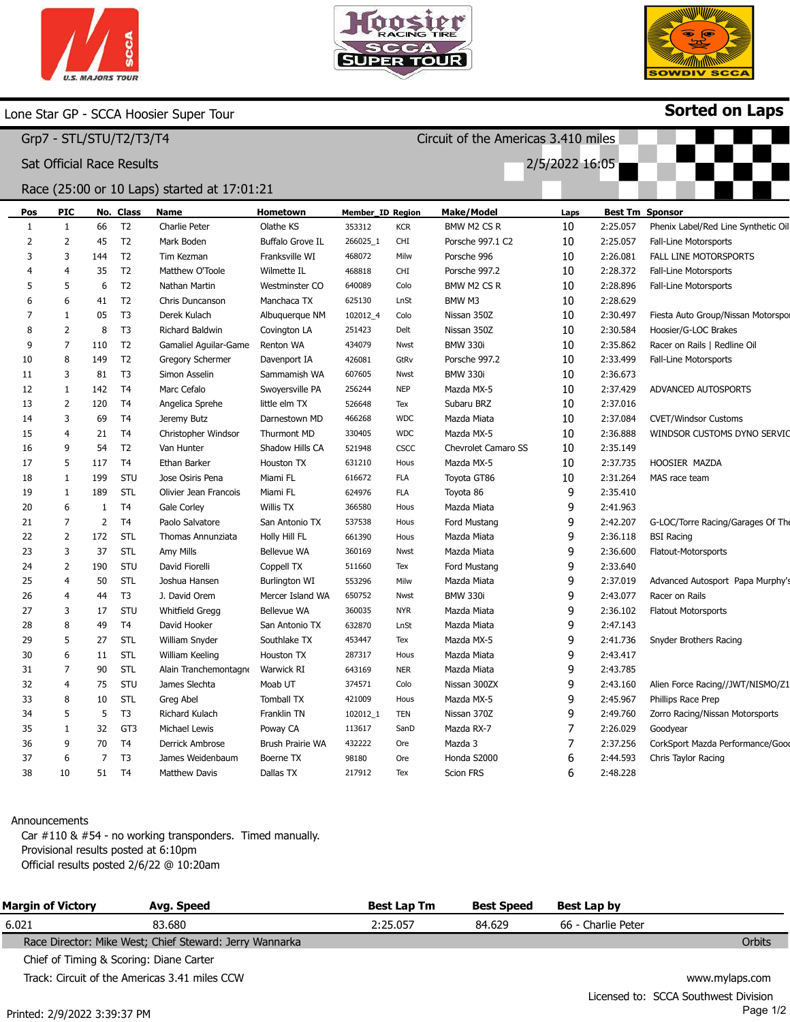



Circuit of the Americas 3.410 miles

2/5/2022 16:05



Sorted on Laps

## Lone Star GP - SCCA Hoosier Super Tour

Grp7 - STL/STU/T2/T3/T4

Sat Official Race Results

## Race (25:00 or 10 Laps) started at 17:01:21

| Pos | <b>PIC</b>     |     | No. Class       | <b>Name</b>            | Hometown                | <b>Member_ID Region</b> |             | <b>Make/Model</b>   | Laps |          | <b>Best Tm Sponsor</b>              |
|-----|----------------|-----|-----------------|------------------------|-------------------------|-------------------------|-------------|---------------------|------|----------|-------------------------------------|
| 1   | 1              | 66  | T2              | Charlie Peter          | Olathe KS               | 353312                  | <b>KCR</b>  | BMW M2 CS R         | 10   | 2:25.057 | Phenix Label/Red Line Synthetic Oil |
| 2   | 2              | 45  | T <sub>2</sub>  | Mark Boden             | <b>Buffalo Grove IL</b> | 266025_1                | CHI         | Porsche 997.1 C2    | 10   | 2:25.057 | Fall-Line Motorsports               |
| 3   | 3              | 144 | T2              | Tim Kezman             | Franksville WI          | 468072                  | Milw        | Porsche 996         | 10   | 2:26.081 | <b>FALL LINE MOTORSPORTS</b>        |
|     | $\overline{4}$ | 35  | T <sub>2</sub>  | Matthew O'Toole        | Wilmette IL             | 468818                  | <b>CHI</b>  | Porsche 997.2       | 10   | 2:28.372 | Fall-Line Motorsports               |
| 5   | 5              | 6   | T <sub>2</sub>  | Nathan Martin          | Westminster CO          | 640089                  | Colo        | BMW M2 CS R         | 10   | 2:28.896 | Fall-Line Motorsports               |
| 6   | 6              | 41  | T <sub>2</sub>  | Chris Duncanson        | Manchaca TX             | 625130                  | LnSt        | BMW M3              | 10   | 2:28.629 |                                     |
| 7   | 1              | 05  | T <sub>3</sub>  | Derek Kulach           | Albuquerque NM          | 102012_4                | Colo        | Nissan 350Z         | 10   | 2:30.497 | Fiesta Auto Group/Nissan Motorspo   |
| 8   | $\overline{2}$ | 8   | T <sub>3</sub>  | <b>Richard Baldwin</b> | Covington LA            | 251423                  | Delt        | Nissan 350Z         | 10   | 2:30.584 | Hoosier/G-LOC Brakes                |
| 9   | $\overline{7}$ | 110 | T <sub>2</sub>  | Gamaliel Aguilar-Game  | Renton WA               | 434079                  | Nwst        | <b>BMW 330i</b>     | 10   | 2:35.862 | Racer on Rails   Redline Oil        |
| 10  | 8              | 149 | T <sub>2</sub>  | Gregory Schermer       | Davenport IA            | 426081                  | GtRv        | Porsche 997.2       | 10   | 2:33.499 | Fall-Line Motorsports               |
| 11  | 3              | 81  | T <sub>3</sub>  | Simon Asselin          | Sammamish WA            | 607605                  | Nwst        | <b>BMW 330i</b>     | 10   | 2:36.673 |                                     |
| 12  | $\mathbf{1}$   | 142 | T <sub>4</sub>  | Marc Cefalo            | Swoyersville PA         | 256244                  | <b>NEP</b>  | Mazda MX-5          | 10   | 2:37.429 | ADVANCED AUTOSPORTS                 |
| 13  | 2              | 120 | T <sub>4</sub>  | Angelica Sprehe        | little elm TX           | 526648                  | Tex         | Subaru BRZ          | 10   | 2:37.016 |                                     |
| 14  | 3              | 69  | T <sub>4</sub>  | Jeremy Butz            | Darnestown MD           | 466268                  | <b>WDC</b>  | Mazda Miata         | 10   | 2:37.084 | <b>CVET/Windsor Customs</b>         |
| 15  | $\overline{4}$ | 21  | T <sub>4</sub>  | Christopher Windsor    | Thurmont MD             | 330405                  | <b>WDC</b>  | Mazda MX-5          | 10   | 2:36.888 | WINDSOR CUSTOMS DYNO SERVIC         |
| 16  | 9              | 54  | T <sub>2</sub>  | Van Hunter             | Shadow Hills CA         | 521948                  | <b>CSCC</b> | Chevrolet Camaro SS | 10   | 2:35.149 |                                     |
| 17  | 5              | 117 | T <sub>4</sub>  | Ethan Barker           | Houston TX              | 631210                  | Hous        | Mazda MX-5          | 10   | 2:37.735 | HOOSIER MAZDA                       |
| 18  | $\mathbf{1}$   | 199 | STU             | Jose Osiris Pena       | Miami FL                | 616672                  | <b>FLA</b>  | Toyota GT86         | 10   | 2:31.264 | MAS race team                       |
| 19  | $\mathbf{1}$   | 189 | <b>STL</b>      | Olivier Jean Francois  | Miami FL                | 624976                  | FLA         | Toyota 86           | 9    | 2:35.410 |                                     |
| 20  | 6              | 1   | T <sub>4</sub>  | <b>Gale Corley</b>     | <b>Willis TX</b>        | 366580                  | Hous        | Mazda Miata         | 9    | 2:41.963 |                                     |
| 21  | 7              | 2   | T <sub>4</sub>  | Paolo Salvatore        | San Antonio TX          | 537538                  | Hous        | Ford Mustang        | 9    | 2:42.207 | G-LOC/Torre Racing/Garages Of The   |
| 22  | $\overline{2}$ | 172 | STL             | Thomas Annunziata      | Holly Hill FL           | 661390                  | Hous        | Mazda Miata         | 9    | 2:36.118 | <b>BSI Racing</b>                   |
| 23  | 3              | 37  | STL             | <b>Amy Mills</b>       | Bellevue WA             | 360169                  | Nwst        | Mazda Miata         | 9    | 2:36.600 | Flatout-Motorsports                 |
| 24  | 2              | 190 | STU             | David Fiorelli         | Coppell TX              | 511660                  | Tex         | Ford Mustang        | 9    | 2:33.640 |                                     |
| 25  | $\overline{4}$ | 50  | STL             | Joshua Hansen          | Burlington WI           | 553296                  | Milw        | Mazda Miata         | 9    | 2:37.019 | Advanced Autosport Papa Murphy's    |
| 26  | $\overline{4}$ | 44  | T <sub>3</sub>  | J. David Orem          | Mercer Island WA        | 650752                  | Nwst        | <b>BMW 330i</b>     | 9    | 2:43.077 | Racer on Rails                      |
| 27  | 3              | 17  | STU             | Whitfield Gregg        | Bellevue WA             | 360035                  | <b>NYR</b>  | Mazda Miata         | 9    | 2:36.102 | <b>Flatout Motorsports</b>          |
| 28  | 8              | 49  | T <sub>4</sub>  | David Hooker           | San Antonio TX          | 632870                  | LnSt        | Mazda Miata         | 9    | 2:47.143 |                                     |
| 29  | 5              | 27  | STL             | William Snyder         | Southlake TX            | 453447                  | Tex         | Mazda MX-5          | 9    | 2:41.736 | Snyder Brothers Racing              |
| 30  | 6              | 11  | <b>STL</b>      | William Keeling        | Houston TX              | 287317                  | Hous        | Mazda Miata         | 9    | 2:43.417 |                                     |
| 31  | 7              | 90  | <b>STL</b>      | Alain Tranchemontagne  | <b>Warwick RI</b>       | 643169                  | <b>NER</b>  | Mazda Miata         | 9    | 2:43.785 |                                     |
| 32  | $\overline{4}$ | 75  | STU             | James Slechta          | Moab UT                 | 374571                  | Colo        | Nissan 300ZX        | 9    | 2:43.160 | Alien Force Racing//JWT/NISMO/Z1    |
| 33  | 8              | 10  | STL             | Greg Abel              | <b>Tomball TX</b>       | 421009                  | Hous        | Mazda MX-5          | 9    | 2:45.967 | Phillips Race Prep                  |
| 34  | 5              | 5   | T <sub>3</sub>  | Richard Kulach         | Franklin TN             | 102012 1                | <b>TEN</b>  | Nissan 370Z         | 9    | 2:49.760 | Zorro Racing/Nissan Motorsports     |
| 35  | 1              | 32  | GT <sub>3</sub> | Michael Lewis          | Poway CA                | 113617                  | SanD        | Mazda RX-7          | 7    | 2:26.029 | Goodyear                            |
| 36  | 9              | 70  | T <sub>4</sub>  | Derrick Ambrose        | <b>Brush Prairie WA</b> | 432222                  | Ore         | Mazda 3             | 7    | 2:37.256 | CorkSport Mazda Performance/Good    |
| 37  | 6              | 7   | T <sub>3</sub>  | James Weidenbaum       | Boerne TX               | 98180                   | Ore         | Honda S2000         | 6    | 2:44.593 | Chris Taylor Racing                 |
| 38  | 10             | 51  | T <sub>4</sub>  | <b>Matthew Davis</b>   | Dallas TX               | 217912                  | Tex         | <b>Scion FRS</b>    | 6    | 2:48.228 |                                     |

#### Announcements

Car #110 & #54 - no working transponders. Timed manually. Provisional results posted at 6:10pm Official results posted 2/6/22 @ 10:20am

| <b>Margin of Victory</b>                | Avg. Speed                                              | <b>Best Lap Tm</b> | <b>Best Speed</b> | Best Lap by        |                |
|-----------------------------------------|---------------------------------------------------------|--------------------|-------------------|--------------------|----------------|
| 6.021                                   | 83.680                                                  | 2:25.057           | 84.629            | 66 - Charlie Peter |                |
|                                         | Race Director: Mike West; Chief Steward: Jerry Wannarka |                    |                   |                    | Orbits         |
| Chief of Timing & Scoring: Diane Carter |                                                         |                    |                   |                    |                |
|                                         | Track: Circuit of the Americas 3.41 miles CCW           |                    |                   |                    | www.mylaps.com |
|                                         |                                                         |                    |                   |                    |                |

Licensed to: SCCA Southwest Division Page 1/2